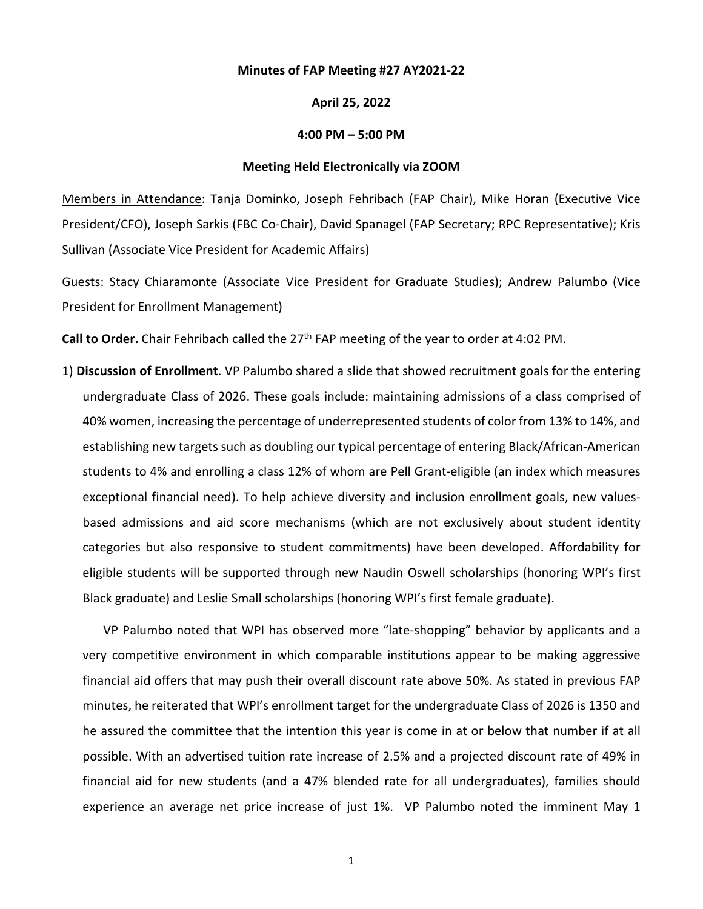### **Minutes of FAP Meeting #27 AY2021-22**

## **April 25, 2022**

### **4:00 PM – 5:00 PM**

#### **Meeting Held Electronically via ZOOM**

Members in Attendance: Tanja Dominko, Joseph Fehribach (FAP Chair), Mike Horan (Executive Vice President/CFO), Joseph Sarkis (FBC Co-Chair), David Spanagel (FAP Secretary; RPC Representative); Kris Sullivan (Associate Vice President for Academic Affairs)

Guests: Stacy Chiaramonte (Associate Vice President for Graduate Studies); Andrew Palumbo (Vice President for Enrollment Management)

Call to Order. Chair Fehribach called the 27<sup>th</sup> FAP meeting of the year to order at 4:02 PM.

1) **Discussion of Enrollment**. VP Palumbo shared a slide that showed recruitment goals for the entering undergraduate Class of 2026. These goals include: maintaining admissions of a class comprised of 40% women, increasing the percentage of underrepresented students of color from 13% to 14%, and establishing new targets such as doubling our typical percentage of entering Black/African-American students to 4% and enrolling a class 12% of whom are Pell Grant-eligible (an index which measures exceptional financial need). To help achieve diversity and inclusion enrollment goals, new valuesbased admissions and aid score mechanisms (which are not exclusively about student identity categories but also responsive to student commitments) have been developed. Affordability for eligible students will be supported through new Naudin Oswell scholarships (honoring WPI's first Black graduate) and Leslie Small scholarships (honoring WPI's first female graduate).

VP Palumbo noted that WPI has observed more "late-shopping" behavior by applicants and a very competitive environment in which comparable institutions appear to be making aggressive financial aid offers that may push their overall discount rate above 50%. As stated in previous FAP minutes, he reiterated that WPI's enrollment target for the undergraduate Class of 2026 is 1350 and he assured the committee that the intention this year is come in at or below that number if at all possible. With an advertised tuition rate increase of 2.5% and a projected discount rate of 49% in financial aid for new students (and a 47% blended rate for all undergraduates), families should experience an average net price increase of just 1%. VP Palumbo noted the imminent May 1

1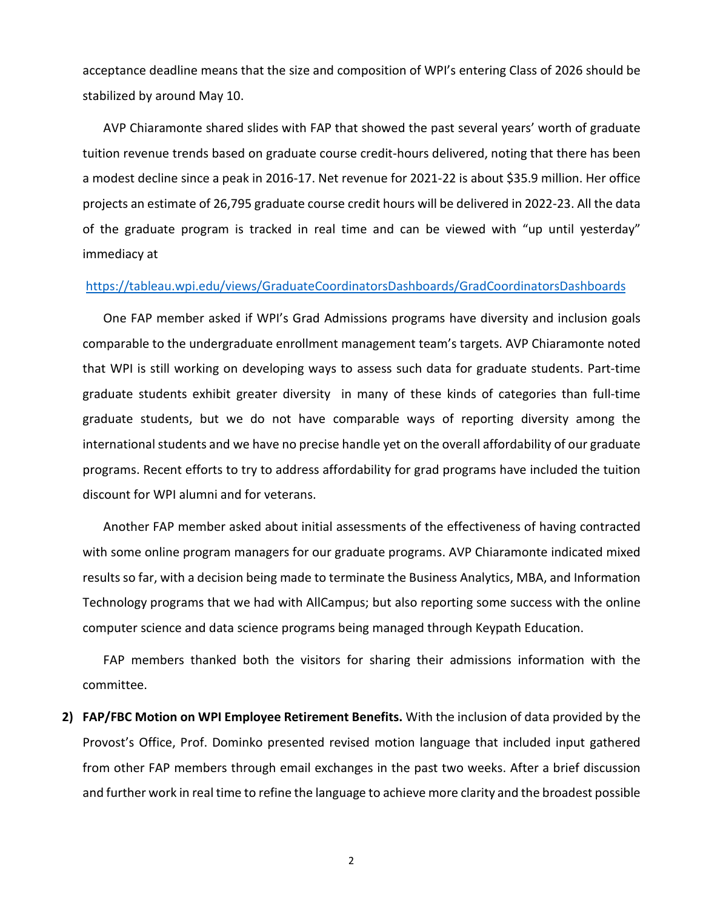acceptance deadline means that the size and composition of WPI's entering Class of 2026 should be stabilized by around May 10.

AVP Chiaramonte shared slides with FAP that showed the past several years' worth of graduate tuition revenue trends based on graduate course credit-hours delivered, noting that there has been a modest decline since a peak in 2016-17. Net revenue for 2021-22 is about \$35.9 million. Her office projects an estimate of 26,795 graduate course credit hours will be delivered in 2022-23. All the data of the graduate program is tracked in real time and can be viewed with "up until yesterday" immediacy at

# <https://tableau.wpi.edu/views/GraduateCoordinatorsDashboards/GradCoordinatorsDashboards>

One FAP member asked if WPI's Grad Admissions programs have diversity and inclusion goals comparable to the undergraduate enrollment management team's targets. AVP Chiaramonte noted that WPI is still working on developing ways to assess such data for graduate students. Part-time graduate students exhibit greater diversity in many of these kinds of categories than full-time graduate students, but we do not have comparable ways of reporting diversity among the international students and we have no precise handle yet on the overall affordability of our graduate programs. Recent efforts to try to address affordability for grad programs have included the tuition discount for WPI alumni and for veterans.

Another FAP member asked about initial assessments of the effectiveness of having contracted with some online program managers for our graduate programs. AVP Chiaramonte indicated mixed results so far, with a decision being made to terminate the Business Analytics, MBA, and Information Technology programs that we had with AllCampus; but also reporting some success with the online computer science and data science programs being managed through Keypath Education.

FAP members thanked both the visitors for sharing their admissions information with the committee.

**2) FAP/FBC Motion on WPI Employee Retirement Benefits.** With the inclusion of data provided by the Provost's Office, Prof. Dominko presented revised motion language that included input gathered from other FAP members through email exchanges in the past two weeks. After a brief discussion and further work in real time to refine the language to achieve more clarity and the broadest possible

2